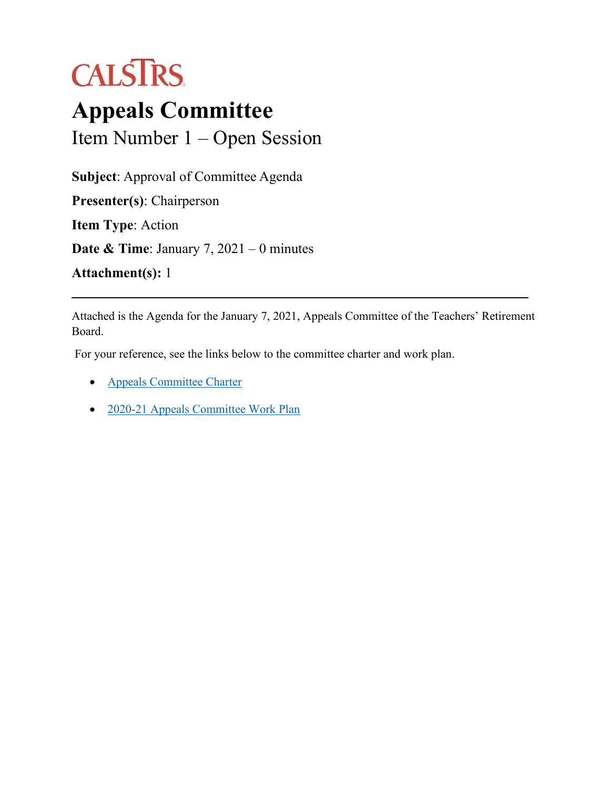# **CALSTRS**

## **Appeals Committee** Item Number 1 – Open Session

**Subject**: Approval of Committee Agenda **Presenter(s)**: Chairperson **Item Type**: Action

**Date & Time**: January 7, 2021 – 0 minutes

**Attachment(s):** 1

Attached is the Agenda for the January 7, 2021, Appeals Committee of the Teachers' Retirement Board.

For your reference, see the links below to the committee charter and work plan.

- [Appeals Committee Charter](https://trb.calstrs.com/CalSTRSBoardWebSiteWebUI/Page/CommonPage.aspx?PageName=DocumentDownload&Id=a2d89c0e-e7a0-434a-a8db-239260c285d6)
- [2020-21 Appeals Committee Work Plan](https://trb.calstrs.com/CalSTRSBoardWebSiteWebUI/Page/CommonPage.aspx?PageName=DocumentDownload&Id=77f6cf6b-cc4f-4130-8f7e-3761ab98c32b)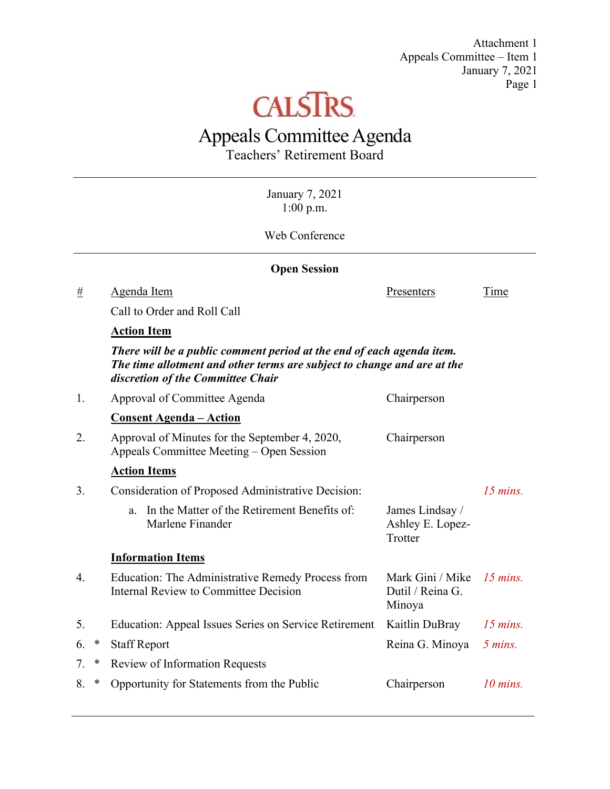Attachment 1 Appeals Committee – Item 1 January 7, 2021 Page 1



### Appeals Committee Agenda

Teachers' Retirement Board

January 7, 2021 1:00 p.m.

Web Conference

| <b>Open Session</b> |        |                                                                                                                                                                                       |                                                |            |  |
|---------------------|--------|---------------------------------------------------------------------------------------------------------------------------------------------------------------------------------------|------------------------------------------------|------------|--|
| $\underline{\#}$    |        | Agenda Item                                                                                                                                                                           | Presenters                                     | Time       |  |
|                     |        | Call to Order and Roll Call                                                                                                                                                           |                                                |            |  |
|                     |        | <b>Action Item</b>                                                                                                                                                                    |                                                |            |  |
|                     |        | There will be a public comment period at the end of each agenda item.<br>The time allotment and other terms are subject to change and are at the<br>discretion of the Committee Chair |                                                |            |  |
| 1.                  |        | Approval of Committee Agenda                                                                                                                                                          | Chairperson                                    |            |  |
|                     |        | <b>Consent Agenda – Action</b>                                                                                                                                                        |                                                |            |  |
| 2.                  |        | Approval of Minutes for the September 4, 2020,<br>Appeals Committee Meeting – Open Session                                                                                            | Chairperson                                    |            |  |
|                     |        | <b>Action Items</b>                                                                                                                                                                   |                                                |            |  |
| 3.                  |        | Consideration of Proposed Administrative Decision:                                                                                                                                    |                                                | $15$ mins. |  |
|                     |        | In the Matter of the Retirement Benefits of:<br>a.<br>Marlene Finander                                                                                                                | James Lindsay /<br>Ashley E. Lopez-<br>Trotter |            |  |
|                     |        | <b>Information Items</b>                                                                                                                                                              |                                                |            |  |
| 4.                  |        | Education: The Administrative Remedy Process from<br><b>Internal Review to Committee Decision</b>                                                                                     | Mark Gini / Mike<br>Dutil / Reina G.<br>Minoya | $15$ mins. |  |
| 5.                  |        | Education: Appeal Issues Series on Service Retirement                                                                                                                                 | Kaitlin DuBray                                 | $15$ mins. |  |
| 6.                  | $\ast$ | <b>Staff Report</b>                                                                                                                                                                   | Reina G. Minoya                                | 5 mins.    |  |
| 7.                  | ∗      | <b>Review of Information Requests</b>                                                                                                                                                 |                                                |            |  |
| 8.                  | $\ast$ | Opportunity for Statements from the Public                                                                                                                                            | Chairperson                                    | $10$ mins. |  |